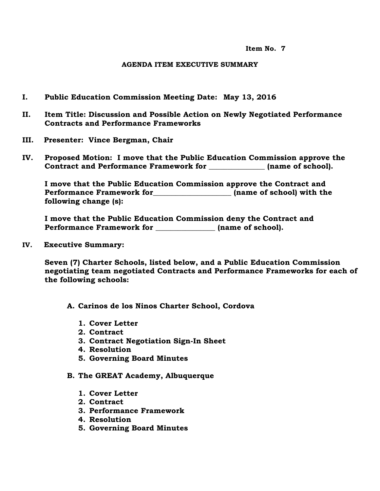**Item No. 7**

## **AGENDA ITEM EXECUTIVE SUMMARY**

- **I. Public Education Commission Meeting Date: May 13, 2016**
- **II. Item Title: Discussion and Possible Action on Newly Negotiated Performance Contracts and Performance Frameworks**
- **III. Presenter: Vince Bergman, Chair**
- **IV. Proposed Motion: I move that the Public Education Commission approve the Contract and Performance Framework for \_\_\_\_\_\_\_\_\_\_\_\_\_\_\_ (name of school).**

**I move that the Public Education Commission approve the Contract and Performance Framework for\_\_\_\_\_\_\_\_\_\_\_\_\_\_\_\_\_\_\_\_\_ (name of school) with the following change (s):**

**I move that the Public Education Commission deny the Contract and Performance Framework for \_\_\_\_\_\_\_\_\_\_\_\_\_\_\_\_ (name of school).**

**IV. Executive Summary:**

**Seven (7) Charter Schools, listed below, and a Public Education Commission negotiating team negotiated Contracts and Performance Frameworks for each of the following schools:**

- **A. Carinos de los Ninos Charter School, Cordova**
	- **1. Cover Letter**
	- **2. Contract**
	- **3. Contract Negotiation Sign-In Sheet**
	- **4. Resolution**
	- **5. Governing Board Minutes**
- **B. The GREAT Academy, Albuquerque**
	- **1. Cover Letter**
	- **2. Contract**
	- **3. Performance Framework**
	- **4. Resolution**
	- **5. Governing Board Minutes**